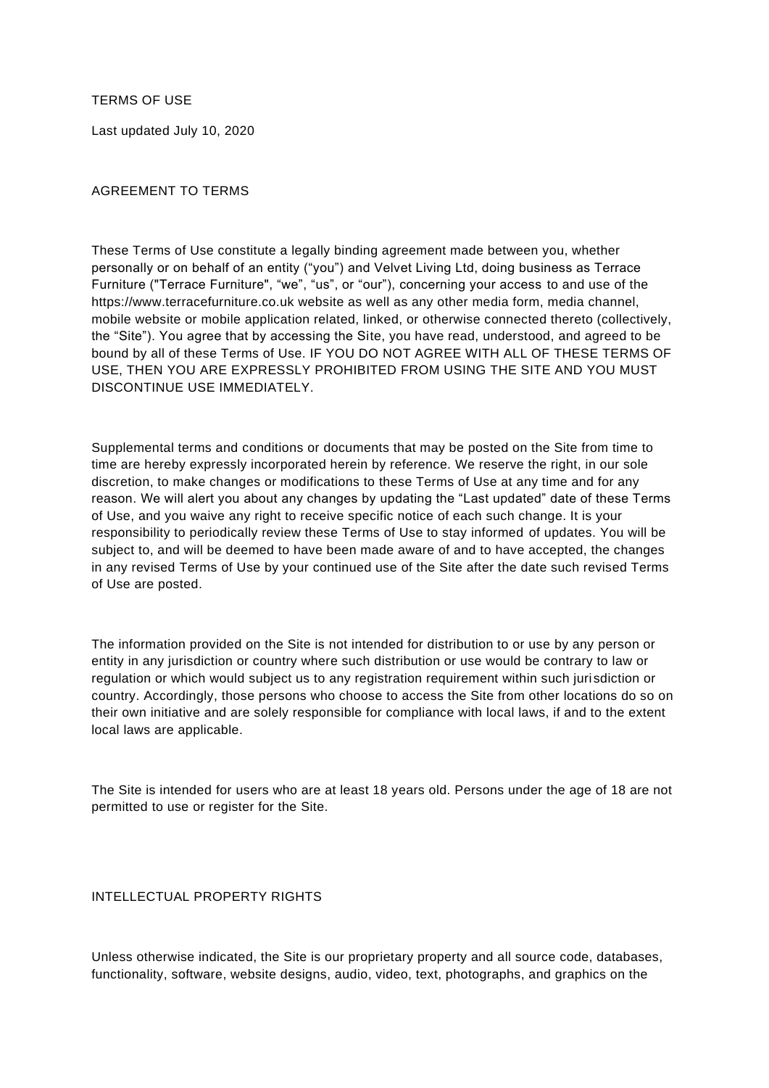TERMS OF USE

Last updated July 10, 2020

## AGREEMENT TO TERMS

These Terms of Use constitute a legally binding agreement made between you, whether personally or on behalf of an entity ("you") and Velvet Living Ltd, doing business as Terrace Furniture ("Terrace Furniture", "we", "us", or "our"), concerning your access to and use of the https://www.terracefurniture.co.uk website as well as any other media form, media channel, mobile website or mobile application related, linked, or otherwise connected thereto (collectively, the "Site"). You agree that by accessing the Site, you have read, understood, and agreed to be bound by all of these Terms of Use. IF YOU DO NOT AGREE WITH ALL OF THESE TERMS OF USE, THEN YOU ARE EXPRESSLY PROHIBITED FROM USING THE SITE AND YOU MUST DISCONTINUE USE IMMEDIATELY.

Supplemental terms and conditions or documents that may be posted on the Site from time to time are hereby expressly incorporated herein by reference. We reserve the right, in our sole discretion, to make changes or modifications to these Terms of Use at any time and for any reason. We will alert you about any changes by updating the "Last updated" date of these Terms of Use, and you waive any right to receive specific notice of each such change. It is your responsibility to periodically review these Terms of Use to stay informed of updates. You will be subject to, and will be deemed to have been made aware of and to have accepted, the changes in any revised Terms of Use by your continued use of the Site after the date such revised Terms of Use are posted.

The information provided on the Site is not intended for distribution to or use by any person or entity in any jurisdiction or country where such distribution or use would be contrary to law or regulation or which would subject us to any registration requirement within such juri sdiction or country. Accordingly, those persons who choose to access the Site from other locations do so on their own initiative and are solely responsible for compliance with local laws, if and to the extent local laws are applicable.

The Site is intended for users who are at least 18 years old. Persons under the age of 18 are not permitted to use or register for the Site.

## INTELLECTUAL PROPERTY RIGHTS

Unless otherwise indicated, the Site is our proprietary property and all source code, databases, functionality, software, website designs, audio, video, text, photographs, and graphics on the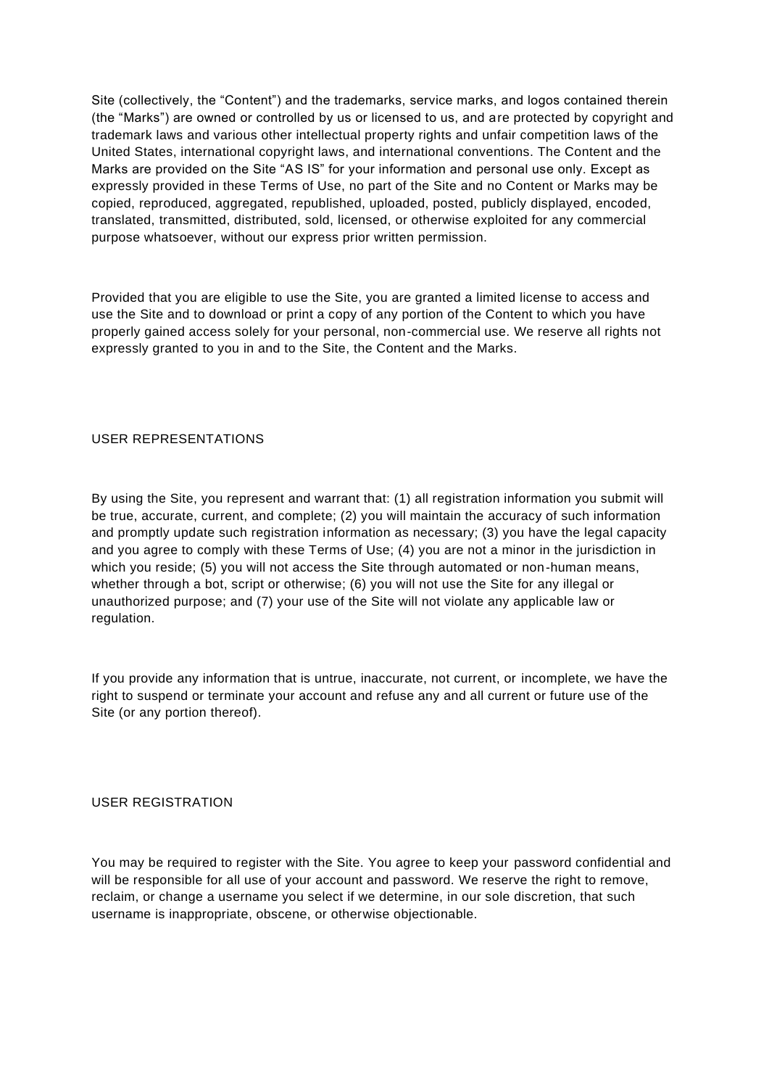Site (collectively, the "Content") and the trademarks, service marks, and logos contained therein (the "Marks") are owned or controlled by us or licensed to us, and are protected by copyright and trademark laws and various other intellectual property rights and unfair competition laws of the United States, international copyright laws, and international conventions. The Content and the Marks are provided on the Site "AS IS" for your information and personal use only. Except as expressly provided in these Terms of Use, no part of the Site and no Content or Marks may be copied, reproduced, aggregated, republished, uploaded, posted, publicly displayed, encoded, translated, transmitted, distributed, sold, licensed, or otherwise exploited for any commercial purpose whatsoever, without our express prior written permission.

Provided that you are eligible to use the Site, you are granted a limited license to access and use the Site and to download or print a copy of any portion of the Content to which you have properly gained access solely for your personal, non-commercial use. We reserve all rights not expressly granted to you in and to the Site, the Content and the Marks.

## USER REPRESENTATIONS

By using the Site, you represent and warrant that: (1) all registration information you submit will be true, accurate, current, and complete; (2) you will maintain the accuracy of such information and promptly update such registration information as necessary; (3) you have the legal capacity and you agree to comply with these Terms of Use; (4) you are not a minor in the jurisdiction in which you reside; (5) you will not access the Site through automated or non-human means, whether through a bot, script or otherwise; (6) you will not use the Site for any illegal or unauthorized purpose; and (7) your use of the Site will not violate any applicable law or regulation.

If you provide any information that is untrue, inaccurate, not current, or incomplete, we have the right to suspend or terminate your account and refuse any and all current or future use of the Site (or any portion thereof).

## USER REGISTRATION

You may be required to register with the Site. You agree to keep your password confidential and will be responsible for all use of your account and password. We reserve the right to remove, reclaim, or change a username you select if we determine, in our sole discretion, that such username is inappropriate, obscene, or otherwise objectionable.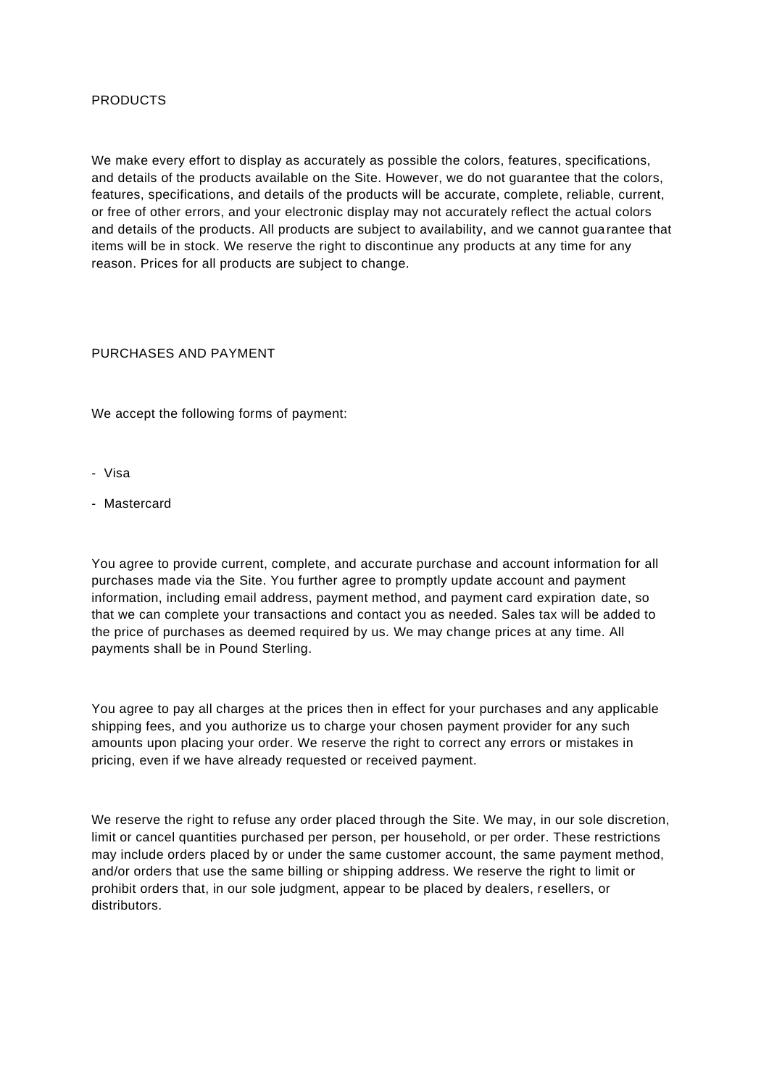## PRODUCTS

We make every effort to display as accurately as possible the colors, features, specifications, and details of the products available on the Site. However, we do not guarantee that the colors, features, specifications, and details of the products will be accurate, complete, reliable, current, or free of other errors, and your electronic display may not accurately reflect the actual colors and details of the products. All products are subject to availability, and we cannot guarantee that items will be in stock. We reserve the right to discontinue any products at any time for any reason. Prices for all products are subject to change.

## PURCHASES AND PAYMENT

We accept the following forms of payment:

- Visa
- Mastercard

You agree to provide current, complete, and accurate purchase and account information for all purchases made via the Site. You further agree to promptly update account and payment information, including email address, payment method, and payment card expiration date, so that we can complete your transactions and contact you as needed. Sales tax will be added to the price of purchases as deemed required by us. We may change prices at any time. All payments shall be in Pound Sterling.

You agree to pay all charges at the prices then in effect for your purchases and any applicable shipping fees, and you authorize us to charge your chosen payment provider for any such amounts upon placing your order. We reserve the right to correct any errors or mistakes in pricing, even if we have already requested or received payment.

We reserve the right to refuse any order placed through the Site. We may, in our sole discretion, limit or cancel quantities purchased per person, per household, or per order. These restrictions may include orders placed by or under the same customer account, the same payment method, and/or orders that use the same billing or shipping address. We reserve the right to limit or prohibit orders that, in our sole judgment, appear to be placed by dealers, resellers, or distributors.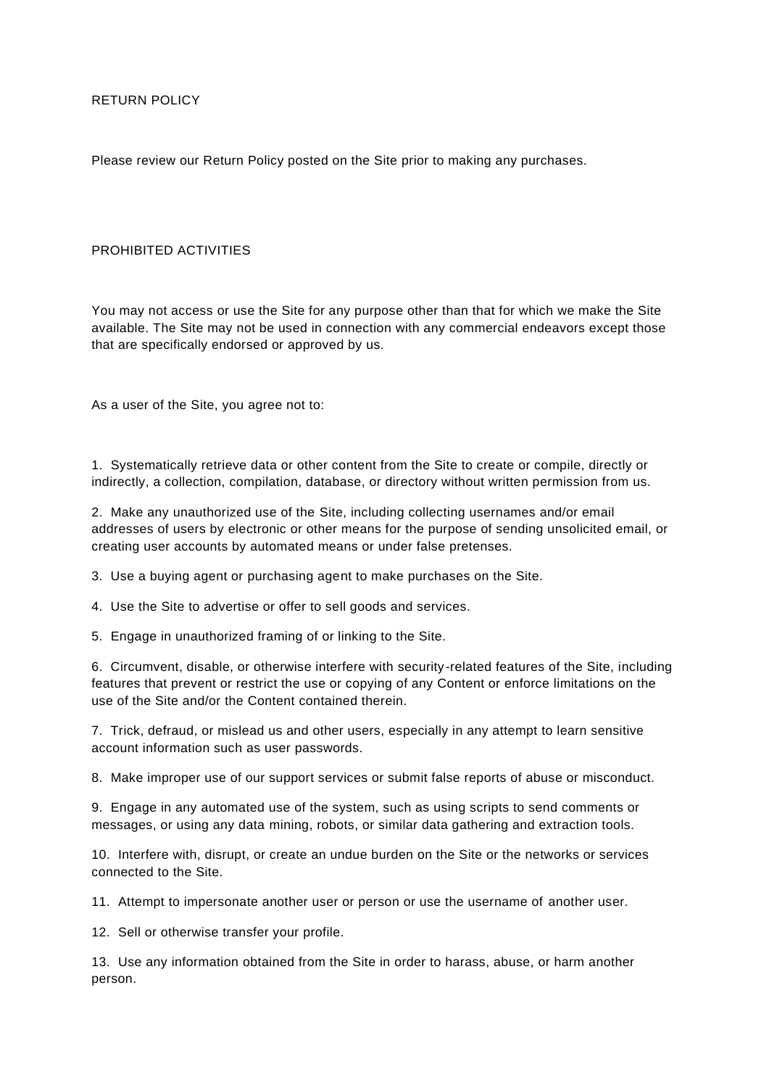Please review our Return Policy posted on the Site prior to making any purchases.

## PROHIBITED ACTIVITIES

You may not access or use the Site for any purpose other than that for which we make the Site available. The Site may not be used in connection with any commercial endeavors except those that are specifically endorsed or approved by us.

As a user of the Site, you agree not to:

1. Systematically retrieve data or other content from the Site to create or compile, directly or indirectly, a collection, compilation, database, or directory without written permission from us.

2. Make any unauthorized use of the Site, including collecting usernames and/or email addresses of users by electronic or other means for the purpose of sending unsolicited email, or creating user accounts by automated means or under false pretenses.

3. Use a buying agent or purchasing agent to make purchases on the Site.

4. Use the Site to advertise or offer to sell goods and services.

5. Engage in unauthorized framing of or linking to the Site.

6. Circumvent, disable, or otherwise interfere with security-related features of the Site, including features that prevent or restrict the use or copying of any Content or enforce limitations on the use of the Site and/or the Content contained therein.

7. Trick, defraud, or mislead us and other users, especially in any attempt to learn sensitive account information such as user passwords.

8. Make improper use of our support services or submit false reports of abuse or misconduct.

9. Engage in any automated use of the system, such as using scripts to send comments or messages, or using any data mining, robots, or similar data gathering and extraction tools.

10. Interfere with, disrupt, or create an undue burden on the Site or the networks or services connected to the Site.

11. Attempt to impersonate another user or person or use the username of another user.

12. Sell or otherwise transfer your profile.

13. Use any information obtained from the Site in order to harass, abuse, or harm another person.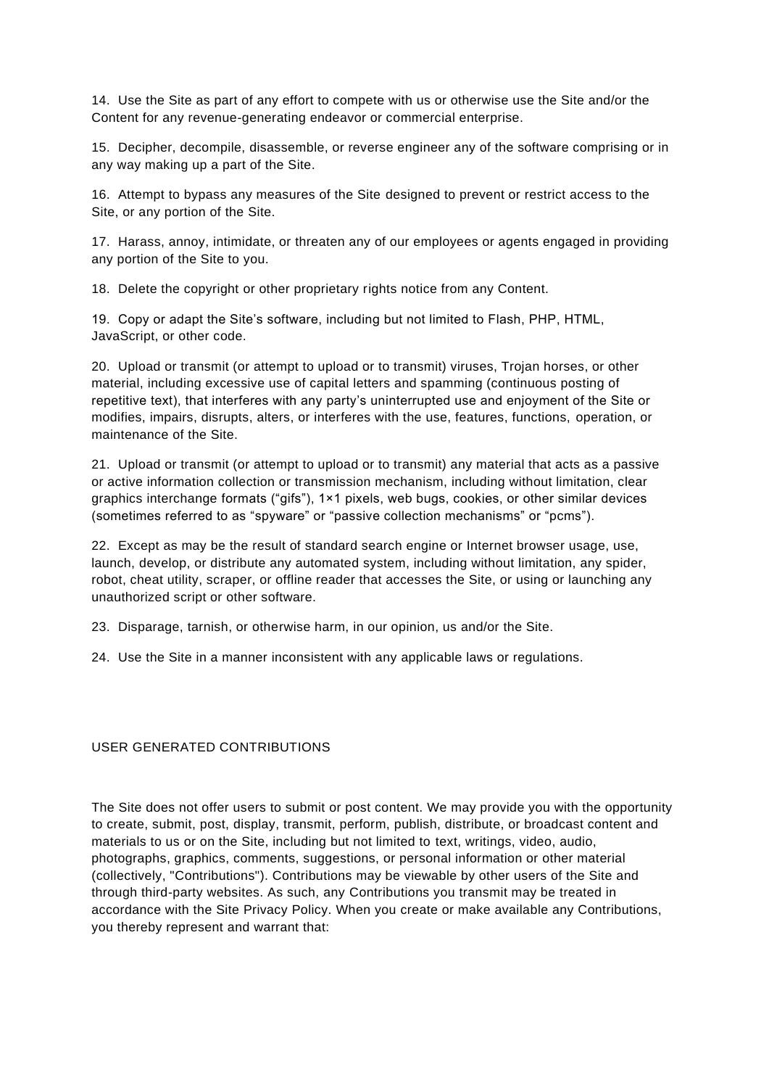14. Use the Site as part of any effort to compete with us or otherwise use the Site and/or the Content for any revenue-generating endeavor or commercial enterprise.

15. Decipher, decompile, disassemble, or reverse engineer any of the software comprising or in any way making up a part of the Site.

16. Attempt to bypass any measures of the Site designed to prevent or restrict access to the Site, or any portion of the Site.

17. Harass, annoy, intimidate, or threaten any of our employees or agents engaged in providing any portion of the Site to you.

18. Delete the copyright or other proprietary rights notice from any Content.

19. Copy or adapt the Site's software, including but not limited to Flash, PHP, HTML, JavaScript, or other code.

20. Upload or transmit (or attempt to upload or to transmit) viruses, Trojan horses, or other material, including excessive use of capital letters and spamming (continuous posting of repetitive text), that interferes with any party's uninterrupted use and enjoyment of the Site or modifies, impairs, disrupts, alters, or interferes with the use, features, functions, operation, or maintenance of the Site.

21. Upload or transmit (or attempt to upload or to transmit) any material that acts as a passive or active information collection or transmission mechanism, including without limitation, clear graphics interchange formats ("gifs"), 1×1 pixels, web bugs, cookies, or other similar devices (sometimes referred to as "spyware" or "passive collection mechanisms" or "pcms").

22. Except as may be the result of standard search engine or Internet browser usage, use, launch, develop, or distribute any automated system, including without limitation, any spider, robot, cheat utility, scraper, or offline reader that accesses the Site, or using or launching any unauthorized script or other software.

23. Disparage, tarnish, or otherwise harm, in our opinion, us and/or the Site.

24. Use the Site in a manner inconsistent with any applicable laws or regulations.

USER GENERATED CONTRIBUTIONS

The Site does not offer users to submit or post content. We may provide you with the opportunity to create, submit, post, display, transmit, perform, publish, distribute, or broadcast content and materials to us or on the Site, including but not limited to text, writings, video, audio, photographs, graphics, comments, suggestions, or personal information or other material (collectively, "Contributions"). Contributions may be viewable by other users of the Site and through third-party websites. As such, any Contributions you transmit may be treated in accordance with the Site Privacy Policy. When you create or make available any Contributions, you thereby represent and warrant that: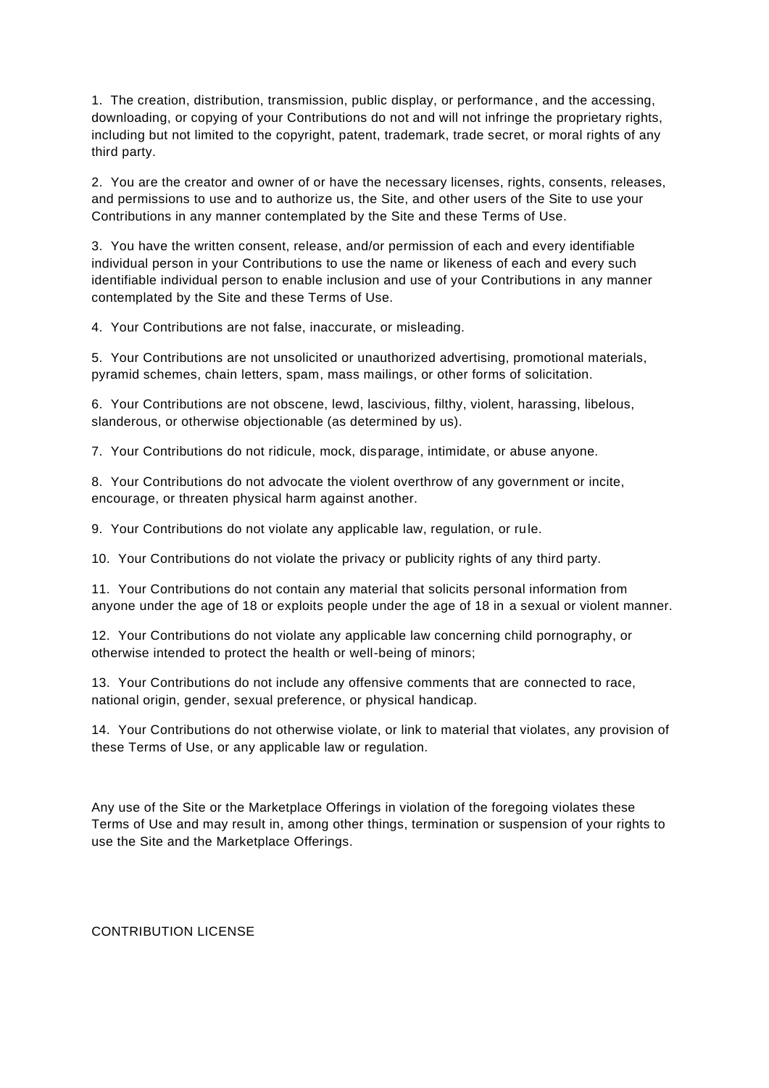1. The creation, distribution, transmission, public display, or performance, and the accessing, downloading, or copying of your Contributions do not and will not infringe the proprietary rights, including but not limited to the copyright, patent, trademark, trade secret, or moral rights of any third party.

2. You are the creator and owner of or have the necessary licenses, rights, consents, releases, and permissions to use and to authorize us, the Site, and other users of the Site to use your Contributions in any manner contemplated by the Site and these Terms of Use.

3. You have the written consent, release, and/or permission of each and every identifiable individual person in your Contributions to use the name or likeness of each and every such identifiable individual person to enable inclusion and use of your Contributions in any manner contemplated by the Site and these Terms of Use.

4. Your Contributions are not false, inaccurate, or misleading.

5. Your Contributions are not unsolicited or unauthorized advertising, promotional materials, pyramid schemes, chain letters, spam, mass mailings, or other forms of solicitation.

6. Your Contributions are not obscene, lewd, lascivious, filthy, violent, harassing, libelous, slanderous, or otherwise objectionable (as determined by us).

7. Your Contributions do not ridicule, mock, disparage, intimidate, or abuse anyone.

8. Your Contributions do not advocate the violent overthrow of any government or incite, encourage, or threaten physical harm against another.

9. Your Contributions do not violate any applicable law, regulation, or rule.

10. Your Contributions do not violate the privacy or publicity rights of any third party.

11. Your Contributions do not contain any material that solicits personal information from anyone under the age of 18 or exploits people under the age of 18 in a sexual or violent manner.

12. Your Contributions do not violate any applicable law concerning child pornography, or otherwise intended to protect the health or well-being of minors;

13. Your Contributions do not include any offensive comments that are connected to race, national origin, gender, sexual preference, or physical handicap.

14. Your Contributions do not otherwise violate, or link to material that violates, any provision of these Terms of Use, or any applicable law or regulation.

Any use of the Site or the Marketplace Offerings in violation of the foregoing violates these Terms of Use and may result in, among other things, termination or suspension of your rights to use the Site and the Marketplace Offerings.

CONTRIBUTION LICENSE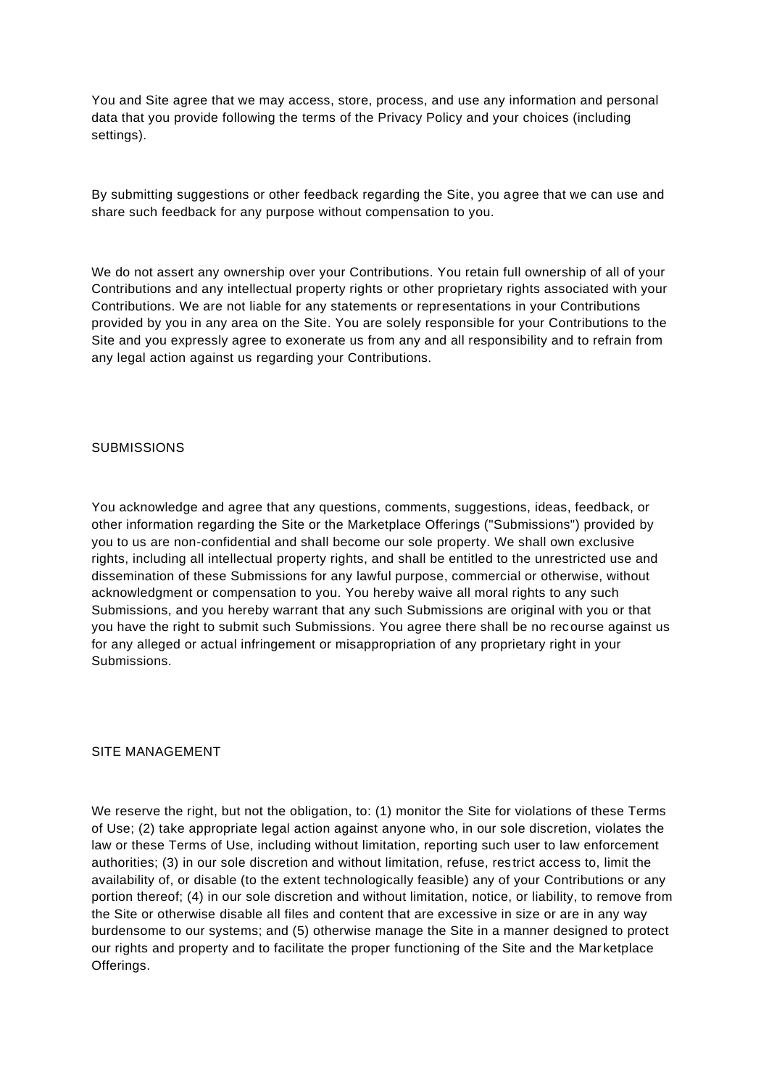You and Site agree that we may access, store, process, and use any information and personal data that you provide following the terms of the Privacy Policy and your choices (including settings).

By submitting suggestions or other feedback regarding the Site, you agree that we can use and share such feedback for any purpose without compensation to you.

We do not assert any ownership over your Contributions. You retain full ownership of all of your Contributions and any intellectual property rights or other proprietary rights associated with your Contributions. We are not liable for any statements or representations in your Contributions provided by you in any area on the Site. You are solely responsible for your Contributions to the Site and you expressly agree to exonerate us from any and all responsibility and to refrain from any legal action against us regarding your Contributions.

## **SUBMISSIONS**

You acknowledge and agree that any questions, comments, suggestions, ideas, feedback, or other information regarding the Site or the Marketplace Offerings ("Submissions") provided by you to us are non-confidential and shall become our sole property. We shall own exclusive rights, including all intellectual property rights, and shall be entitled to the unrestricted use and dissemination of these Submissions for any lawful purpose, commercial or otherwise, without acknowledgment or compensation to you. You hereby waive all moral rights to any such Submissions, and you hereby warrant that any such Submissions are original with you or that you have the right to submit such Submissions. You agree there shall be no recourse against us for any alleged or actual infringement or misappropriation of any proprietary right in your Submissions.

## SITE MANAGEMENT

We reserve the right, but not the obligation, to: (1) monitor the Site for violations of these Terms of Use; (2) take appropriate legal action against anyone who, in our sole discretion, violates the law or these Terms of Use, including without limitation, reporting such user to law enforcement authorities; (3) in our sole discretion and without limitation, refuse, res trict access to, limit the availability of, or disable (to the extent technologically feasible) any of your Contributions or any portion thereof; (4) in our sole discretion and without limitation, notice, or liability, to remove from the Site or otherwise disable all files and content that are excessive in size or are in any way burdensome to our systems; and (5) otherwise manage the Site in a manner designed to protect our rights and property and to facilitate the proper functioning of the Site and the Mar ketplace Offerings.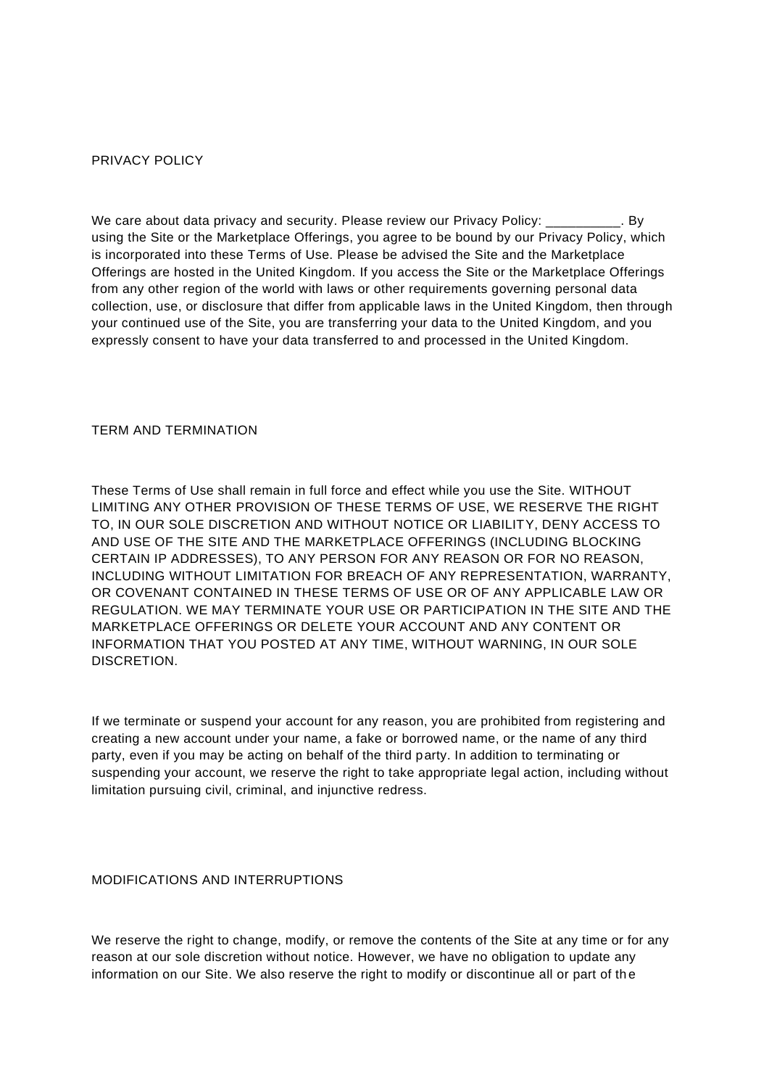#### PRIVACY POLICY

We care about data privacy and security. Please review our Privacy Policy:  $\overline{\phantom{a}}$ . By using the Site or the Marketplace Offerings, you agree to be bound by our Privacy Policy, which is incorporated into these Terms of Use. Please be advised the Site and the Marketplace Offerings are hosted in the United Kingdom. If you access the Site or the Marketplace Offerings from any other region of the world with laws or other requirements governing personal data collection, use, or disclosure that differ from applicable laws in the United Kingdom, then through your continued use of the Site, you are transferring your data to the United Kingdom, and you expressly consent to have your data transferred to and processed in the United Kingdom.

### TERM AND TERMINATION

These Terms of Use shall remain in full force and effect while you use the Site. WITHOUT LIMITING ANY OTHER PROVISION OF THESE TERMS OF USE, WE RESERVE THE RIGHT TO, IN OUR SOLE DISCRETION AND WITHOUT NOTICE OR LIABILITY, DENY ACCESS TO AND USE OF THE SITE AND THE MARKETPLACE OFFERINGS (INCLUDING BLOCKING CERTAIN IP ADDRESSES), TO ANY PERSON FOR ANY REASON OR FOR NO REASON, INCLUDING WITHOUT LIMITATION FOR BREACH OF ANY REPRESENTATION, WARRANTY, OR COVENANT CONTAINED IN THESE TERMS OF USE OR OF ANY APPLICABLE LAW OR REGULATION. WE MAY TERMINATE YOUR USE OR PARTICIPATION IN THE SITE AND THE MARKETPLACE OFFERINGS OR DELETE YOUR ACCOUNT AND ANY CONTENT OR INFORMATION THAT YOU POSTED AT ANY TIME, WITHOUT WARNING, IN OUR SOLE **DISCRETION** 

If we terminate or suspend your account for any reason, you are prohibited from registering and creating a new account under your name, a fake or borrowed name, or the name of any third party, even if you may be acting on behalf of the third party. In addition to terminating or suspending your account, we reserve the right to take appropriate legal action, including without limitation pursuing civil, criminal, and injunctive redress.

# MODIFICATIONS AND INTERRUPTIONS

We reserve the right to change, modify, or remove the contents of the Site at any time or for any reason at our sole discretion without notice. However, we have no obligation to update any information on our Site. We also reserve the right to modify or discontinue all or part of the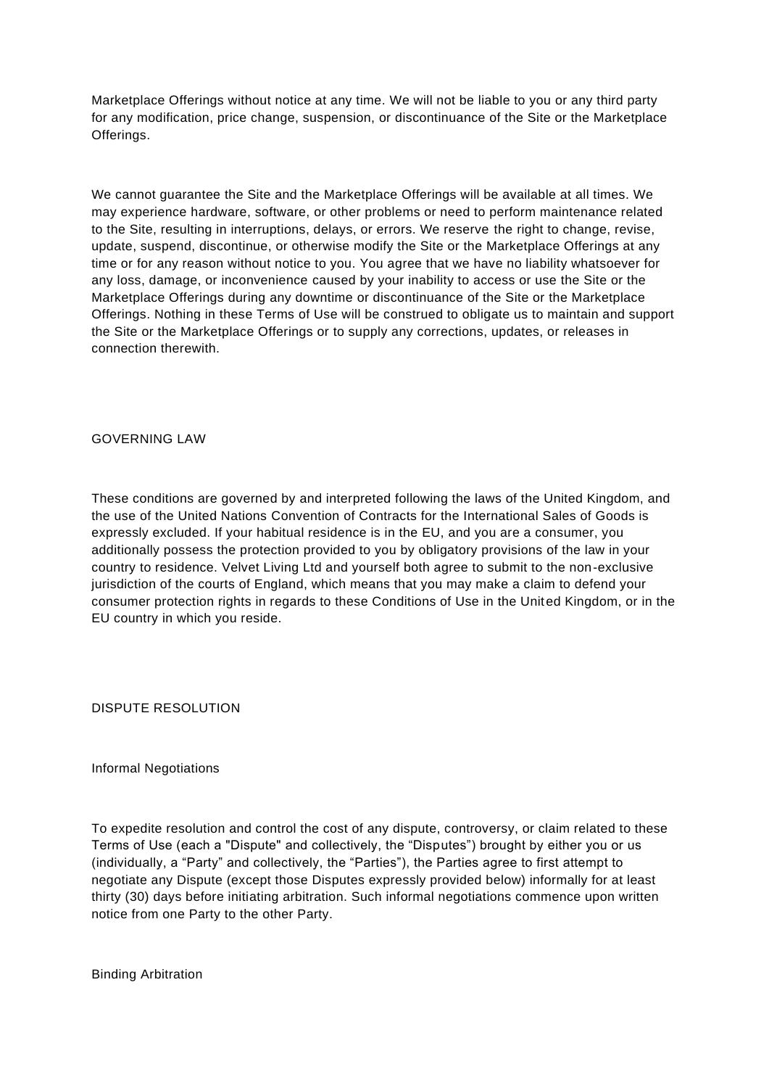Marketplace Offerings without notice at any time. We will not be liable to you or any third party for any modification, price change, suspension, or discontinuance of the Site or the Marketplace Offerings.

We cannot guarantee the Site and the Marketplace Offerings will be available at all times. We may experience hardware, software, or other problems or need to perform maintenance related to the Site, resulting in interruptions, delays, or errors. We reserve the right to change, revise, update, suspend, discontinue, or otherwise modify the Site or the Marketplace Offerings at any time or for any reason without notice to you. You agree that we have no liability whatsoever for any loss, damage, or inconvenience caused by your inability to access or use the Site or the Marketplace Offerings during any downtime or discontinuance of the Site or the Marketplace Offerings. Nothing in these Terms of Use will be construed to obligate us to maintain and support the Site or the Marketplace Offerings or to supply any corrections, updates, or releases in connection therewith.

GOVERNING LAW

These conditions are governed by and interpreted following the laws of the United Kingdom, and the use of the United Nations Convention of Contracts for the International Sales of Goods is expressly excluded. If your habitual residence is in the EU, and you are a consumer, you additionally possess the protection provided to you by obligatory provisions of the law in your country to residence. Velvet Living Ltd and yourself both agree to submit to the non-exclusive jurisdiction of the courts of England, which means that you may make a claim to defend your consumer protection rights in regards to these Conditions of Use in the United Kingdom, or in the EU country in which you reside.

DISPUTE RESOLUTION

Informal Negotiations

To expedite resolution and control the cost of any dispute, controversy, or claim related to these Terms of Use (each a "Dispute" and collectively, the "Disputes") brought by either you or us (individually, a "Party" and collectively, the "Parties"), the Parties agree to first attempt to negotiate any Dispute (except those Disputes expressly provided below) informally for at least thirty (30) days before initiating arbitration. Such informal negotiations commence upon written notice from one Party to the other Party.

Binding Arbitration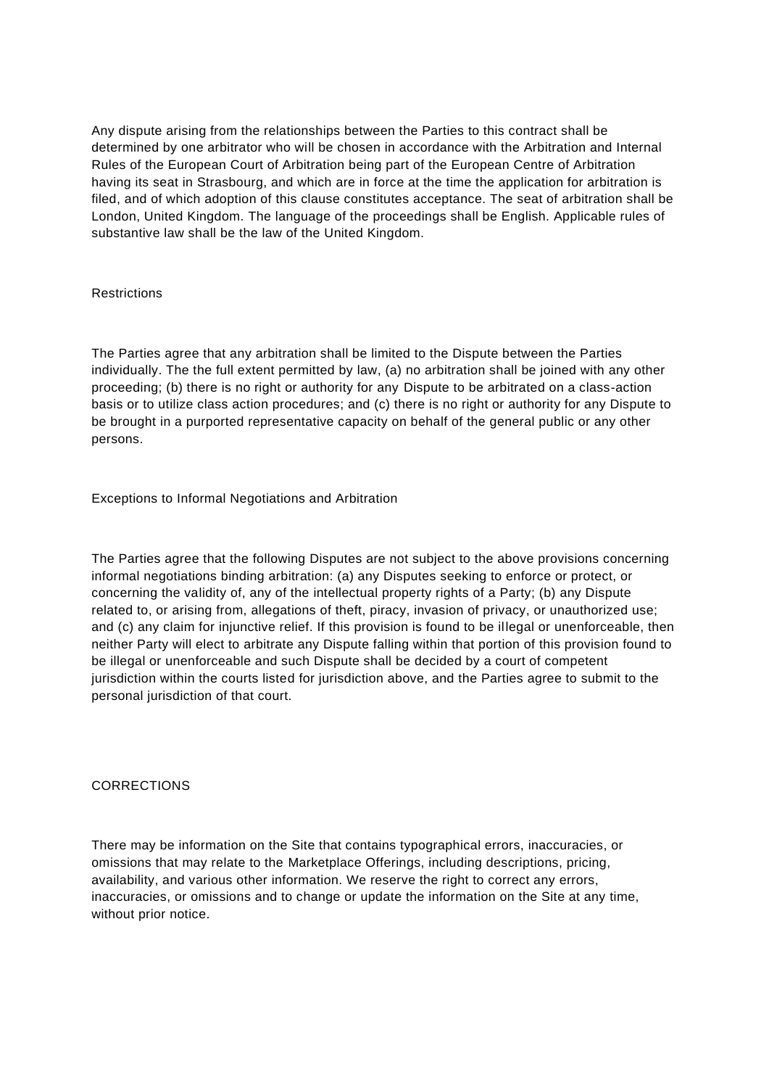Any dispute arising from the relationships between the Parties to this contract shall be determined by one arbitrator who will be chosen in accordance with the Arbitration and Internal Rules of the European Court of Arbitration being part of the European Centre of Arbitration having its seat in Strasbourg, and which are in force at the time the application for arbitration is filed, and of which adoption of this clause constitutes acceptance. The seat of arbitration shall be London, United Kingdom. The language of the proceedings shall be English. Applicable rules of substantive law shall be the law of the United Kingdom.

## Restrictions

The Parties agree that any arbitration shall be limited to the Dispute between the Parties individually. The the full extent permitted by law, (a) no arbitration shall be joined with any other proceeding; (b) there is no right or authority for any Dispute to be arbitrated on a class-action basis or to utilize class action procedures; and (c) there is no right or authority for any Dispute to be brought in a purported representative capacity on behalf of the general public or any other persons.

Exceptions to Informal Negotiations and Arbitration

The Parties agree that the following Disputes are not subject to the above provisions concerning informal negotiations binding arbitration: (a) any Disputes seeking to enforce or protect, or concerning the validity of, any of the intellectual property rights of a Party; (b) any Dispute related to, or arising from, allegations of theft, piracy, invasion of privacy, or unauthorized use; and (c) any claim for injunctive relief. If this provision is found to be illegal or unenforceable, then neither Party will elect to arbitrate any Dispute falling within that portion of this provision found to be illegal or unenforceable and such Dispute shall be decided by a court of competent jurisdiction within the courts listed for jurisdiction above, and the Parties agree to submit to the personal jurisdiction of that court.

## **CORRECTIONS**

There may be information on the Site that contains typographical errors, inaccuracies, or omissions that may relate to the Marketplace Offerings, including descriptions, pricing, availability, and various other information. We reserve the right to correct any errors, inaccuracies, or omissions and to change or update the information on the Site at any time, without prior notice.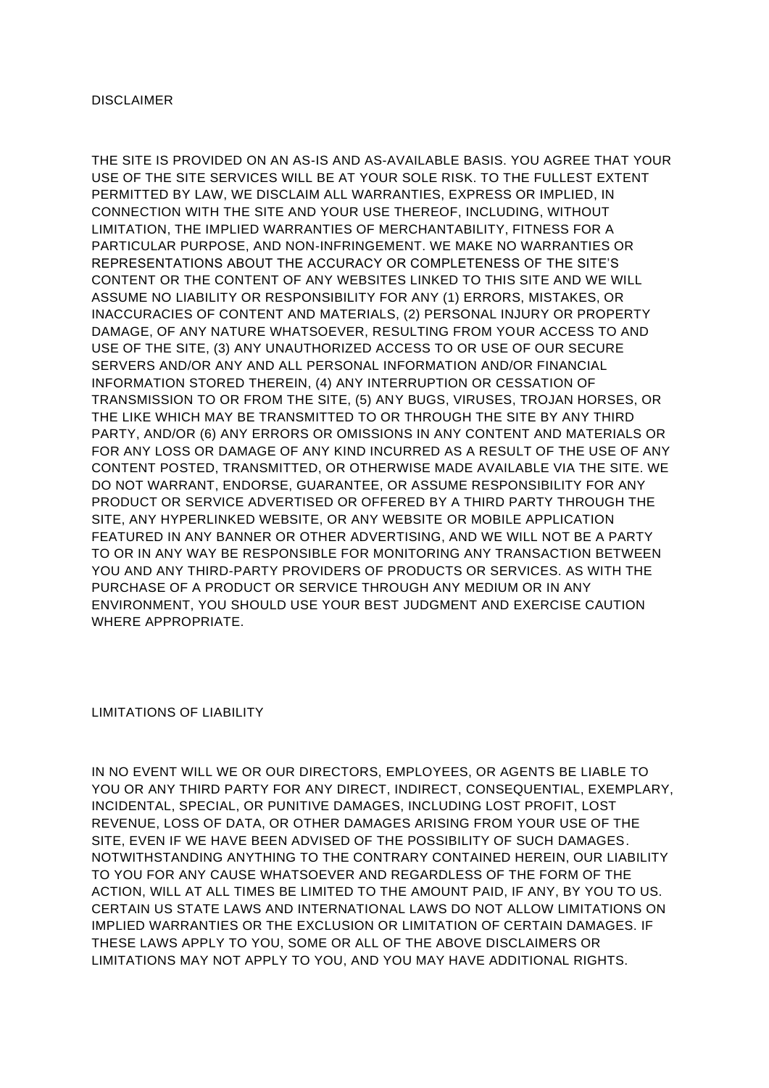THE SITE IS PROVIDED ON AN AS-IS AND AS-AVAILABLE BASIS. YOU AGREE THAT YOUR USE OF THE SITE SERVICES WILL BE AT YOUR SOLE RISK. TO THE FULLEST EXTENT PERMITTED BY LAW, WE DISCLAIM ALL WARRANTIES, EXPRESS OR IMPLIED, IN CONNECTION WITH THE SITE AND YOUR USE THEREOF, INCLUDING, WITHOUT LIMITATION, THE IMPLIED WARRANTIES OF MERCHANTABILITY, FITNESS FOR A PARTICULAR PURPOSE, AND NON-INFRINGEMENT. WE MAKE NO WARRANTIES OR REPRESENTATIONS ABOUT THE ACCURACY OR COMPLETENESS OF THE SITE'S CONTENT OR THE CONTENT OF ANY WEBSITES LINKED TO THIS SITE AND WE WILL ASSUME NO LIABILITY OR RESPONSIBILITY FOR ANY (1) ERRORS, MISTAKES, OR INACCURACIES OF CONTENT AND MATERIALS, (2) PERSONAL INJURY OR PROPERTY DAMAGE, OF ANY NATURE WHATSOEVER, RESULTING FROM YOUR ACCESS TO AND USE OF THE SITE, (3) ANY UNAUTHORIZED ACCESS TO OR USE OF OUR SECURE SERVERS AND/OR ANY AND ALL PERSONAL INFORMATION AND/OR FINANCIAL INFORMATION STORED THEREIN, (4) ANY INTERRUPTION OR CESSATION OF TRANSMISSION TO OR FROM THE SITE, (5) ANY BUGS, VIRUSES, TROJAN HORSES, OR THE LIKE WHICH MAY BE TRANSMITTED TO OR THROUGH THE SITE BY ANY THIRD PARTY, AND/OR (6) ANY ERRORS OR OMISSIONS IN ANY CONTENT AND MATERIALS OR FOR ANY LOSS OR DAMAGE OF ANY KIND INCURRED AS A RESULT OF THE USE OF ANY CONTENT POSTED, TRANSMITTED, OR OTHERWISE MADE AVAILABLE VIA THE SITE. WE DO NOT WARRANT, ENDORSE, GUARANTEE, OR ASSUME RESPONSIBILITY FOR ANY PRODUCT OR SERVICE ADVERTISED OR OFFERED BY A THIRD PARTY THROUGH THE SITE, ANY HYPERLINKED WEBSITE, OR ANY WEBSITE OR MOBILE APPLICATION FEATURED IN ANY BANNER OR OTHER ADVERTISING, AND WE WILL NOT BE A PARTY TO OR IN ANY WAY BE RESPONSIBLE FOR MONITORING ANY TRANSACTION BETWEEN YOU AND ANY THIRD-PARTY PROVIDERS OF PRODUCTS OR SERVICES. AS WITH THE PURCHASE OF A PRODUCT OR SERVICE THROUGH ANY MEDIUM OR IN ANY ENVIRONMENT, YOU SHOULD USE YOUR BEST JUDGMENT AND EXERCISE CAUTION WHERE APPROPRIATE.

LIMITATIONS OF LIABILITY

IN NO EVENT WILL WE OR OUR DIRECTORS, EMPLOYEES, OR AGENTS BE LIABLE TO YOU OR ANY THIRD PARTY FOR ANY DIRECT, INDIRECT, CONSEQUENTIAL, EXEMPLARY, INCIDENTAL, SPECIAL, OR PUNITIVE DAMAGES, INCLUDING LOST PROFIT, LOST REVENUE, LOSS OF DATA, OR OTHER DAMAGES ARISING FROM YOUR USE OF THE SITE, EVEN IF WE HAVE BEEN ADVISED OF THE POSSIBILITY OF SUCH DAMAGES. NOTWITHSTANDING ANYTHING TO THE CONTRARY CONTAINED HEREIN, OUR LIABILITY TO YOU FOR ANY CAUSE WHATSOEVER AND REGARDLESS OF THE FORM OF THE ACTION, WILL AT ALL TIMES BE LIMITED TO THE AMOUNT PAID, IF ANY, BY YOU TO US. CERTAIN US STATE LAWS AND INTERNATIONAL LAWS DO NOT ALLOW LIMITATIONS ON IMPLIED WARRANTIES OR THE EXCLUSION OR LIMITATION OF CERTAIN DAMAGES. IF THESE LAWS APPLY TO YOU, SOME OR ALL OF THE ABOVE DISCLAIMERS OR LIMITATIONS MAY NOT APPLY TO YOU, AND YOU MAY HAVE ADDITIONAL RIGHTS.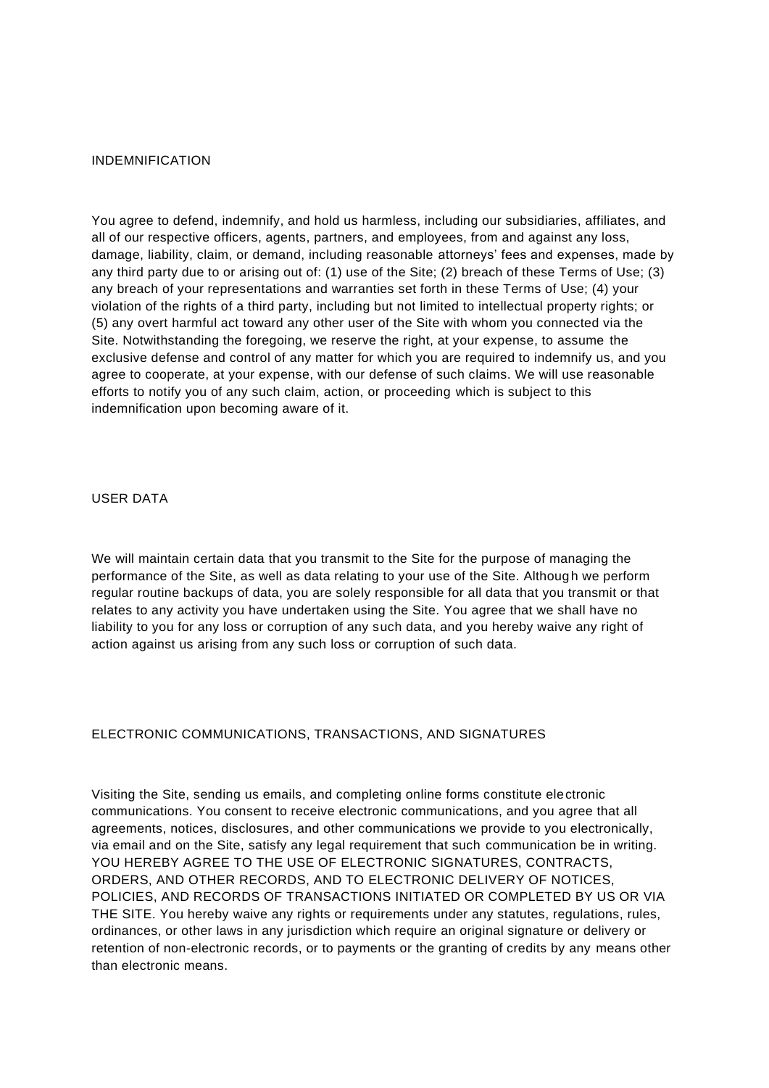#### INDEMNIFICATION

You agree to defend, indemnify, and hold us harmless, including our subsidiaries, affiliates, and all of our respective officers, agents, partners, and employees, from and against any loss, damage, liability, claim, or demand, including reasonable attorneys' fees and expenses, made by any third party due to or arising out of: (1) use of the Site; (2) breach of these Terms of Use; (3) any breach of your representations and warranties set forth in these Terms of Use; (4) your violation of the rights of a third party, including but not limited to intellectual property rights; or (5) any overt harmful act toward any other user of the Site with whom you connected via the Site. Notwithstanding the foregoing, we reserve the right, at your expense, to assume the exclusive defense and control of any matter for which you are required to indemnify us, and you agree to cooperate, at your expense, with our defense of such claims. We will use reasonable efforts to notify you of any such claim, action, or proceeding which is subject to this indemnification upon becoming aware of it.

#### USER DATA

We will maintain certain data that you transmit to the Site for the purpose of managing the performance of the Site, as well as data relating to your use of the Site. Although we perform regular routine backups of data, you are solely responsible for all data that you transmit or that relates to any activity you have undertaken using the Site. You agree that we shall have no liability to you for any loss or corruption of any such data, and you hereby waive any right of action against us arising from any such loss or corruption of such data.

## ELECTRONIC COMMUNICATIONS, TRANSACTIONS, AND SIGNATURES

Visiting the Site, sending us emails, and completing online forms constitute electronic communications. You consent to receive electronic communications, and you agree that all agreements, notices, disclosures, and other communications we provide to you electronically, via email and on the Site, satisfy any legal requirement that such communication be in writing. YOU HEREBY AGREE TO THE USE OF ELECTRONIC SIGNATURES, CONTRACTS, ORDERS, AND OTHER RECORDS, AND TO ELECTRONIC DELIVERY OF NOTICES, POLICIES, AND RECORDS OF TRANSACTIONS INITIATED OR COMPLETED BY US OR VIA THE SITE. You hereby waive any rights or requirements under any statutes, regulations, rules, ordinances, or other laws in any jurisdiction which require an original signature or delivery or retention of non-electronic records, or to payments or the granting of credits by any means other than electronic means.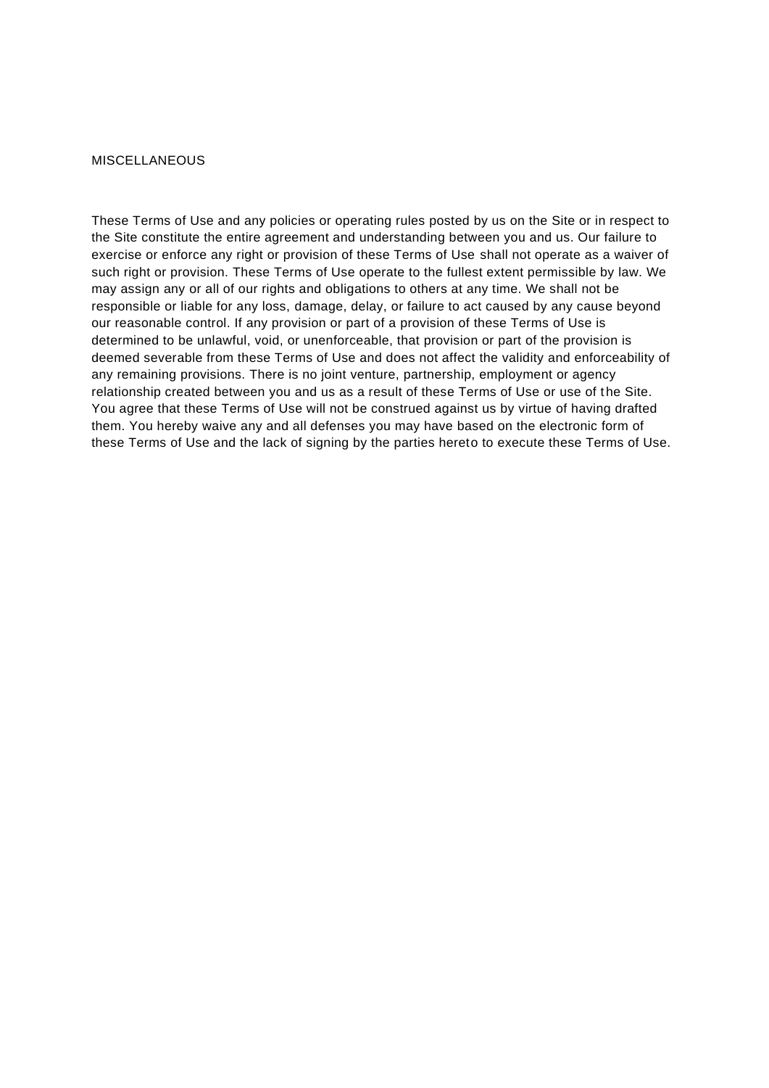#### **MISCELLANEOUS**

These Terms of Use and any policies or operating rules posted by us on the Site or in respect to the Site constitute the entire agreement and understanding between you and us. Our failure to exercise or enforce any right or provision of these Terms of Use shall not operate as a waiver of such right or provision. These Terms of Use operate to the fullest extent permissible by law. We may assign any or all of our rights and obligations to others at any time. We shall not be responsible or liable for any loss, damage, delay, or failure to act caused by any cause beyond our reasonable control. If any provision or part of a provision of these Terms of Use is determined to be unlawful, void, or unenforceable, that provision or part of the provision is deemed severable from these Terms of Use and does not affect the validity and enforceability of any remaining provisions. There is no joint venture, partnership, employment or agency relationship created between you and us as a result of these Terms of Use or use of t he Site. You agree that these Terms of Use will not be construed against us by virtue of having drafted them. You hereby waive any and all defenses you may have based on the electronic form of these Terms of Use and the lack of signing by the parties hereto to execute these Terms of Use.